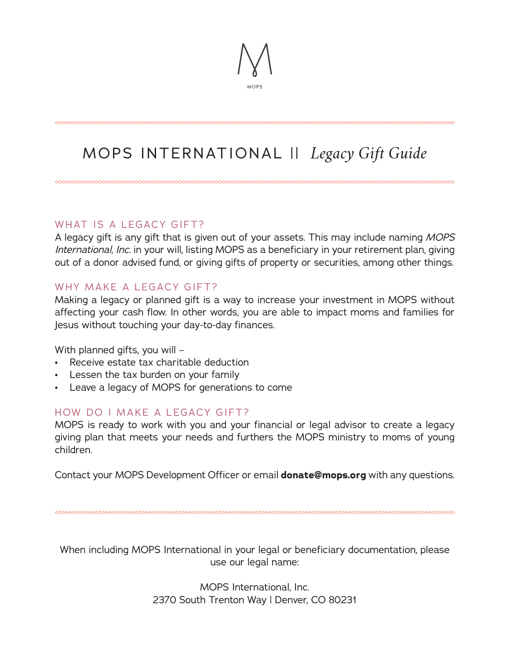# MOPS INTERNATIONAL || *Legacy Gift Guide*

### WHAT IS A LEGACY GIFT?

A legacy gift is any gift that is given out of your assets. This may include naming *MOPS International, Inc.* in your will, listing MOPS as a beneficiary in your retirement plan, giving out of a donor advised fund, or giving gifts of property or securities, among other things.

### WHY MAKE A LEGACY GIFT?

Making a legacy or planned gift is a way to increase your investment in MOPS without affecting your cash flow. In other words, you are able to impact moms and families for Jesus without touching your day-to-day finances.

With planned gifts, you will –

- Receive estate tax charitable deduction
- Lessen the tax burden on your family
- Leave a legacy of MOPS for generations to come

#### HOW DO I MAKE A LEGACY GIFT?

MOPS is ready to work with you and your financial or legal advisor to create a legacy giving plan that meets your needs and furthers the MOPS ministry to moms of young children.

Contact your MOPS Development Officer or email **donate@mops.org** with any questions.

When including MOPS International in your legal or beneficiary documentation, please use our legal name:

> MOPS International, Inc. 2370 South Trenton Way | Denver, CO 80231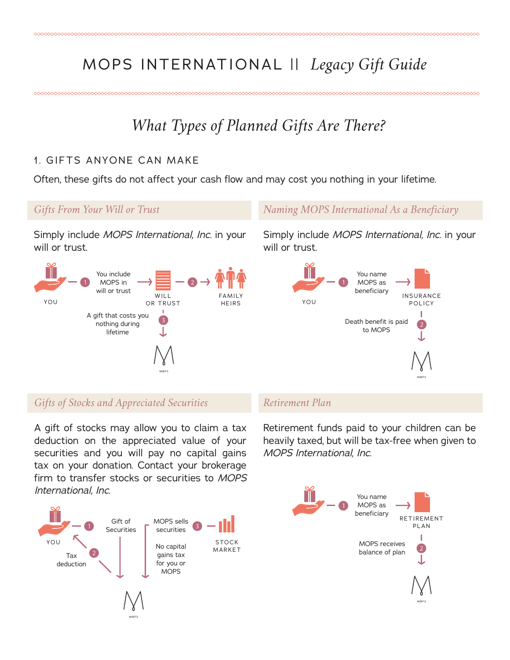## MOPS INTERNATIONAL || *Legacy Gift Guide*

## *What Types of Planned Gifts Are There?*

### 1. GIFTS ANYONE CAN MAKE

Often, these gifts do not affect your cash flow and may cost you nothing in your lifetime.

#### *Gifts From Your Will or Trust*

Simply include *MOPS International, Inc.* in your will or trust.



#### *Naming MOPS International As a Beneficiary*

Simply include *MOPS International, Inc.* in your will or trust.



*Gifts of Stocks and Appreciated Securities*

A gift of stocks may allow you to claim a tax deduction on the appreciated value of your securities and you will pay no capital gains tax on your donation. Contact your brokerage firm to transfer stocks or securities to *MOPS International, Inc*.



#### *Retirement Plan*

Retirement funds paid to your children can be heavily taxed, but will be tax-free when given to *MOPS International, Inc*.